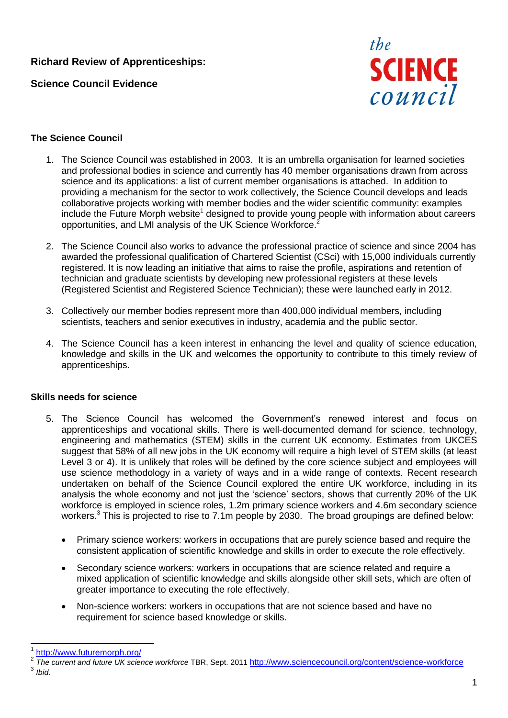# **Richard Review of Apprenticeships:**

**Science Council Evidence**



#### **The Science Council**

- 1. The Science Council was established in 2003. It is an umbrella organisation for learned societies and professional bodies in science and currently has 40 member organisations drawn from across science and its applications: a list of current member organisations is attached. In addition to providing a mechanism for the sector to work collectively, the Science Council develops and leads collaborative projects working with member bodies and the wider scientific community: examples include the Future Morph website<sup>1</sup> designed to provide young people with information about careers opportunities, and LMI analysis of the UK Science Workforce.<sup>2</sup>
- 2. The Science Council also works to advance the professional practice of science and since 2004 has awarded the professional qualification of Chartered Scientist (CSci) with 15,000 individuals currently registered. It is now leading an initiative that aims to raise the profile, aspirations and retention of technician and graduate scientists by developing new professional registers at these levels (Registered Scientist and Registered Science Technician); these were launched early in 2012.
- 3. Collectively our member bodies represent more than 400,000 individual members, including scientists, teachers and senior executives in industry, academia and the public sector.
- 4. The Science Council has a keen interest in enhancing the level and quality of science education, knowledge and skills in the UK and welcomes the opportunity to contribute to this timely review of apprenticeships.

#### **Skills needs for science**

- 5. The Science Council has welcomed the Government's renewed interest and focus on apprenticeships and vocational skills. There is well-documented demand for science, technology, engineering and mathematics (STEM) skills in the current UK economy. Estimates from UKCES suggest that 58% of all new jobs in the UK economy will require a high level of STEM skills (at least Level 3 or 4). It is unlikely that roles will be defined by the core science subject and employees will use science methodology in a variety of ways and in a wide range of contexts. Recent research undertaken on behalf of the Science Council explored the entire UK workforce, including in its analysis the whole economy and not just the 'science' sectors, shows that currently 20% of the UK workforce is employed in science roles, 1.2m primary science workers and 4.6m secondary science workers.<sup>3</sup> This is projected to rise to 7.1m people by 2030. The broad groupings are defined below:
	- Primary science workers: workers in occupations that are purely science based and require the consistent application of scientific knowledge and skills in order to execute the role effectively.
	- Secondary science workers: workers in occupations that are science related and require a mixed application of scientific knowledge and skills alongside other skill sets, which are often of greater importance to executing the role effectively.
	- Non-science workers: workers in occupations that are not science based and have no requirement for science based knowledge or skills.

-

<sup>1</sup> <http://www.futuremorph.org/>

<sup>2</sup> *The current and future UK science workforce* TBR, Sept. 2011 <http://www.sciencecouncil.org/content/science-workforce> 3 *Ibid.*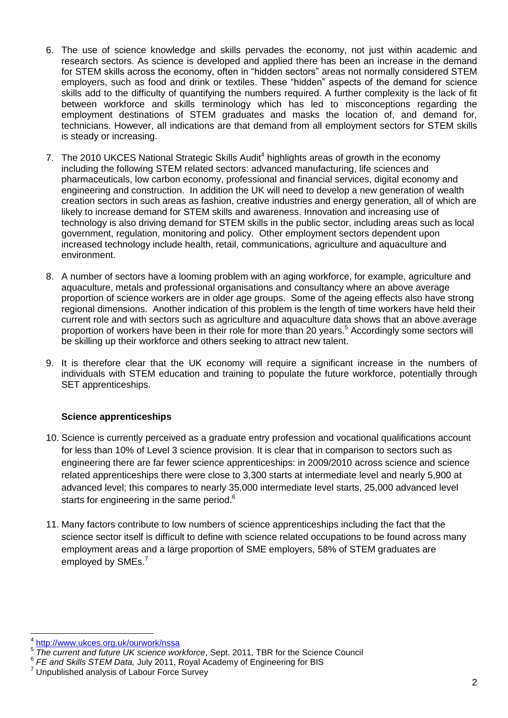- 6. The use of science knowledge and skills pervades the economy, not just within academic and research sectors. As science is developed and applied there has been an increase in the demand for STEM skills across the economy, often in "hidden sectors" areas not normally considered STEM employers, such as food and drink or textiles. These "hidden" aspects of the demand for science skills add to the difficulty of quantifying the numbers required. A further complexity is the lack of fit between workforce and skills terminology which has led to misconceptions regarding the employment destinations of STEM graduates and masks the location of, and demand for, technicians. However, all indications are that demand from all employment sectors for STEM skills is steady or increasing.
- 7. The 2010 UKCES National Strategic Skills Audit<sup>4</sup> highlights areas of growth in the economy including the following STEM related sectors: advanced manufacturing, life sciences and pharmaceuticals, low carbon economy, professional and financial services, digital economy and engineering and construction. In addition the UK will need to develop a new generation of wealth creation sectors in such areas as fashion, creative industries and energy generation, all of which are likely to increase demand for STEM skills and awareness. Innovation and increasing use of technology is also driving demand for STEM skills in the public sector, including areas such as local government, regulation, monitoring and policy. Other employment sectors dependent upon increased technology include health, retail, communications, agriculture and aquaculture and environment.
- 8. A number of sectors have a looming problem with an aging workforce, for example, agriculture and aquaculture, metals and professional organisations and consultancy where an above average proportion of science workers are in older age groups. Some of the ageing effects also have strong regional dimensions. Another indication of this problem is the length of time workers have held their current role and with sectors such as agriculture and aquaculture data shows that an above average proportion of workers have been in their role for more than 20 years.<sup>5</sup> Accordingly some sectors will be skilling up their workforce and others seeking to attract new talent.
- 9. It is therefore clear that the UK economy will require a significant increase in the numbers of individuals with STEM education and training to populate the future workforce, potentially through SET apprenticeships.

#### **Science apprenticeships**

- 10. Science is currently perceived as a graduate entry profession and vocational qualifications account for less than 10% of Level 3 science provision. It is clear that in comparison to sectors such as engineering there are far fewer science apprenticeships: in 2009/2010 across science and science related apprenticeships there were close to 3,300 starts at intermediate level and nearly 5,900 at advanced level; this compares to nearly 35,000 intermediate level starts, 25,000 advanced level starts for engineering in the same period.<sup>6</sup>
- 11. Many factors contribute to low numbers of science apprenticeships including the fact that the science sector itself is difficult to define with science related occupations to be found across many employment areas and a large proportion of SME employers, 58% of STEM graduates are employed by SMEs.<sup>7</sup>

 $\overline{a}$ 4 <http://www.ukces.org.uk/ourwork/nssa>

<sup>5</sup> *The current and future UK science workforce*, Sept. 2011, TBR for the Science Council

<sup>6</sup> *FE and Skills STEM Data,* July 2011, Royal Academy of Engineering for BIS

 $7$  Unpublished analysis of Labour Force Survey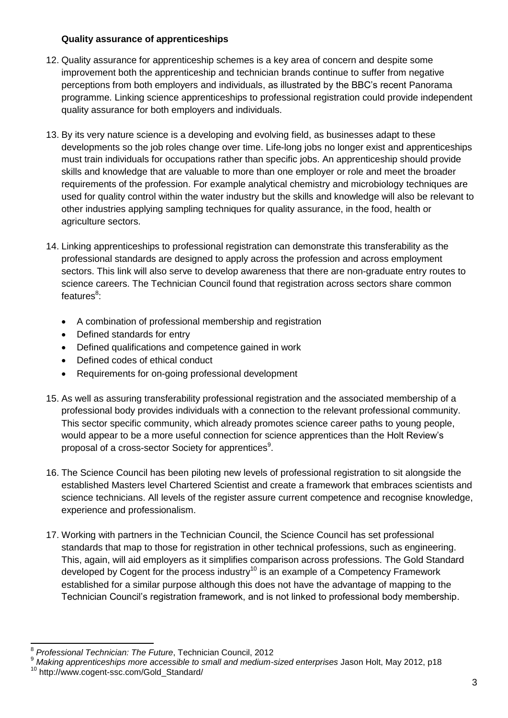#### **Quality assurance of apprenticeships**

- 12. Quality assurance for apprenticeship schemes is a key area of concern and despite some improvement both the apprenticeship and technician brands continue to suffer from negative perceptions from both employers and individuals, as illustrated by the BBC's recent Panorama programme. Linking science apprenticeships to professional registration could provide independent quality assurance for both employers and individuals.
- 13. By its very nature science is a developing and evolving field, as businesses adapt to these developments so the job roles change over time. Life-long jobs no longer exist and apprenticeships must train individuals for occupations rather than specific jobs. An apprenticeship should provide skills and knowledge that are valuable to more than one employer or role and meet the broader requirements of the profession. For example analytical chemistry and microbiology techniques are used for quality control within the water industry but the skills and knowledge will also be relevant to other industries applying sampling techniques for quality assurance, in the food, health or agriculture sectors.
- 14. Linking apprenticeships to professional registration can demonstrate this transferability as the professional standards are designed to apply across the profession and across employment sectors. This link will also serve to develop awareness that there are non-graduate entry routes to science careers. The Technician Council found that registration across sectors share common features<sup>8</sup>:
	- A combination of professional membership and registration
	- Defined standards for entry
	- Defined qualifications and competence gained in work
	- Defined codes of ethical conduct
	- Requirements for on-going professional development
- 15. As well as assuring transferability professional registration and the associated membership of a professional body provides individuals with a connection to the relevant professional community. This sector specific community, which already promotes science career paths to young people, would appear to be a more useful connection for science apprentices than the Holt Review's proposal of a cross-sector Society for apprentices<sup>9</sup>.
- 16. The Science Council has been piloting new levels of professional registration to sit alongside the established Masters level Chartered Scientist and create a framework that embraces scientists and science technicians. All levels of the register assure current competence and recognise knowledge, experience and professionalism.
- 17. Working with partners in the Technician Council, the Science Council has set professional standards that map to those for registration in other technical professions, such as engineering. This, again, will aid employers as it simplifies comparison across professions. The Gold Standard developed by Cogent for the process industry<sup>10</sup> is an example of a Competency Framework established for a similar purpose although this does not have the advantage of mapping to the Technician Council's registration framework, and is not linked to professional body membership.

<sup>-</sup>8 *Professional Technician: The Future*, Technician Council, 2012

<sup>&</sup>lt;sup>9</sup> Making apprenticeships more accessible to small and medium-sized enterprises Jason Holt, May 2012, p18

<sup>10</sup> http://www.cogent-ssc.com/Gold\_Standard/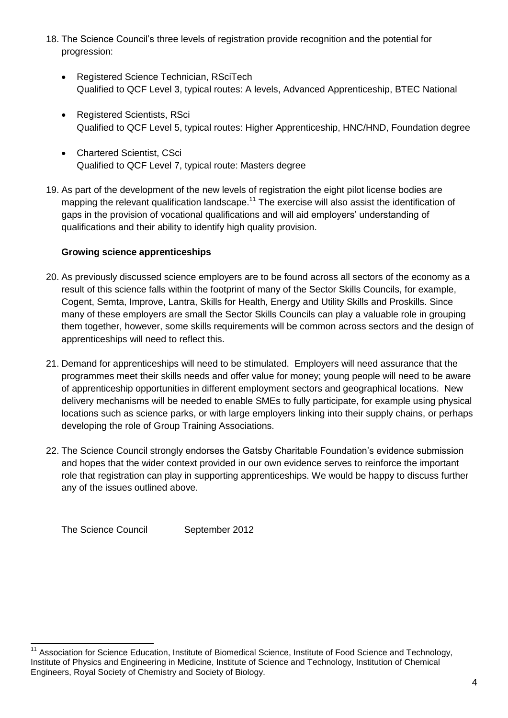- 18. The Science Council's three levels of registration provide recognition and the potential for progression:
	- Registered Science Technician, RSciTech Qualified to QCF Level 3, typical routes: A levels, Advanced Apprenticeship, BTEC National
	- Registered Scientists, RSci Qualified to QCF Level 5, typical routes: Higher Apprenticeship, HNC/HND, Foundation degree
	- Chartered Scientist, CSci Qualified to QCF Level 7, typical route: Masters degree
- 19. As part of the development of the new levels of registration the eight pilot license bodies are mapping the relevant qualification landscape.<sup>11</sup> The exercise will also assist the identification of gaps in the provision of vocational qualifications and will aid employers' understanding of qualifications and their ability to identify high quality provision.

## **Growing science apprenticeships**

- 20. As previously discussed science employers are to be found across all sectors of the economy as a result of this science falls within the footprint of many of the Sector Skills Councils, for example, Cogent, Semta, Improve, Lantra, Skills for Health, Energy and Utility Skills and Proskills. Since many of these employers are small the Sector Skills Councils can play a valuable role in grouping them together, however, some skills requirements will be common across sectors and the design of apprenticeships will need to reflect this.
- 21. Demand for apprenticeships will need to be stimulated. Employers will need assurance that the programmes meet their skills needs and offer value for money; young people will need to be aware of apprenticeship opportunities in different employment sectors and geographical locations. New delivery mechanisms will be needed to enable SMEs to fully participate, for example using physical locations such as science parks, or with large employers linking into their supply chains, or perhaps developing the role of Group Training Associations.
- 22. The Science Council strongly endorses the Gatsby Charitable Foundation's evidence submission and hopes that the wider context provided in our own evidence serves to reinforce the important role that registration can play in supporting apprenticeships. We would be happy to discuss further any of the issues outlined above.

The Science Council September 2012

<sup>-</sup><sup>11</sup> Association for Science Education, Institute of Biomedical Science, Institute of Food Science and Technology, Institute of Physics and Engineering in Medicine, Institute of Science and Technology, Institution of Chemical Engineers, Royal Society of Chemistry and Society of Biology.